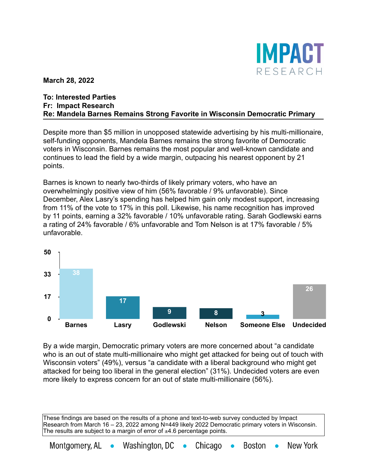

**March 28, 2022**

## **To: Interested Parties Fr: Impact Research Re: Mandela Barnes Remains Strong Favorite in Wisconsin Democratic Primary**

Despite more than \$5 million in unopposed statewide advertising by his multi-millionaire, self-funding opponents, Mandela Barnes remains the strong favorite of Democratic voters in Wisconsin. Barnes remains the most popular and well-known candidate and continues to lead the field by a wide margin, outpacing his nearest opponent by 21 points.

Barnes is known to nearly two-thirds of likely primary voters, who have an overwhelmingly positive view of him (56% favorable / 9% unfavorable). Since December, Alex Lasry's spending has helped him gain only modest support, increasing from 11% of the vote to 17% in this poll. Likewise, his name recognition has improved by 11 points, earning a 32% favorable / 10% unfavorable rating. Sarah Godlewski earns a rating of 24% favorable / 6% unfavorable and Tom Nelson is at 17% favorable / 5% unfavorable.



By a wide margin, Democratic primary voters are more concerned about "a candidate who is an out of state multi-millionaire who might get attacked for being out of touch with Wisconsin voters" (49%), versus "a candidate with a liberal background who might get attacked for being too liberal in the general election" (31%). Undecided voters are even more likely to express concern for an out of state multi-millionaire (56%).

These findings are based on the results of a phone and text-to-web survey conducted by Impact Research from March 16 – 23, 2022 among N=449 likely 2022 Democratic primary voters in Wisconsin. The results are subject to a margin of error of  $\pm 4.6$  percentage points.